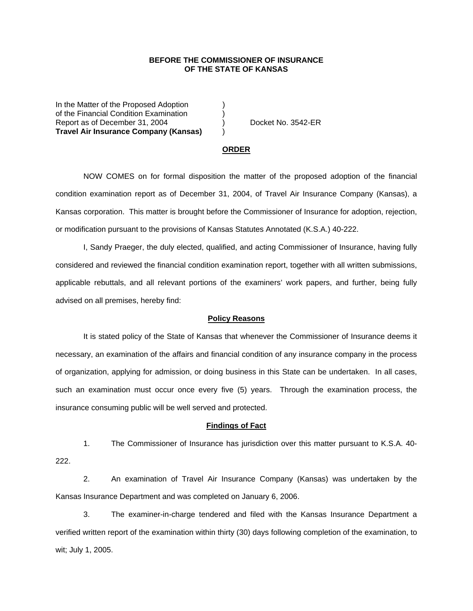## **BEFORE THE COMMISSIONER OF INSURANCE OF THE STATE OF KANSAS**

In the Matter of the Proposed Adoption of the Financial Condition Examination ) Report as of December 31, 2004 (a) Docket No. 3542-ER **Travel Air Insurance Company (Kansas)** )

#### **ORDER**

 NOW COMES on for formal disposition the matter of the proposed adoption of the financial condition examination report as of December 31, 2004, of Travel Air Insurance Company (Kansas), a Kansas corporation. This matter is brought before the Commissioner of Insurance for adoption, rejection, or modification pursuant to the provisions of Kansas Statutes Annotated (K.S.A.) 40-222.

 I, Sandy Praeger, the duly elected, qualified, and acting Commissioner of Insurance, having fully considered and reviewed the financial condition examination report, together with all written submissions, applicable rebuttals, and all relevant portions of the examiners' work papers, and further, being fully advised on all premises, hereby find:

### **Policy Reasons**

 It is stated policy of the State of Kansas that whenever the Commissioner of Insurance deems it necessary, an examination of the affairs and financial condition of any insurance company in the process of organization, applying for admission, or doing business in this State can be undertaken. In all cases, such an examination must occur once every five (5) years. Through the examination process, the insurance consuming public will be well served and protected.

#### **Findings of Fact**

 1. The Commissioner of Insurance has jurisdiction over this matter pursuant to K.S.A. 40- 222.

 2. An examination of Travel Air Insurance Company (Kansas) was undertaken by the Kansas Insurance Department and was completed on January 6, 2006.

 3. The examiner-in-charge tendered and filed with the Kansas Insurance Department a verified written report of the examination within thirty (30) days following completion of the examination, to wit; July 1, 2005.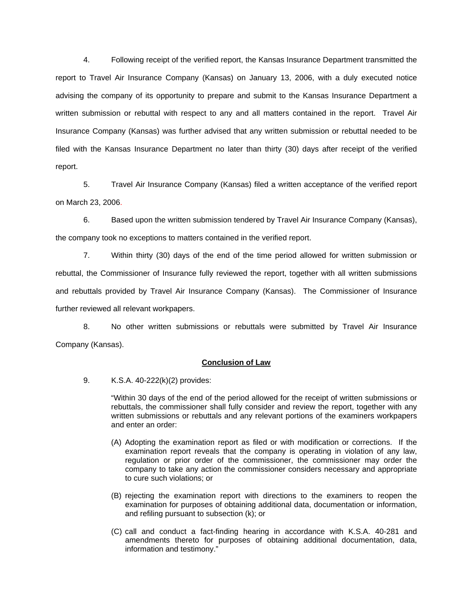4. Following receipt of the verified report, the Kansas Insurance Department transmitted the report to Travel Air Insurance Company (Kansas) on January 13, 2006, with a duly executed notice advising the company of its opportunity to prepare and submit to the Kansas Insurance Department a written submission or rebuttal with respect to any and all matters contained in the report. Travel Air Insurance Company (Kansas) was further advised that any written submission or rebuttal needed to be filed with the Kansas Insurance Department no later than thirty (30) days after receipt of the verified report.

 5. Travel Air Insurance Company (Kansas) filed a written acceptance of the verified report on March 23, 2006.

6. Based upon the written submission tendered by Travel Air Insurance Company (Kansas), the company took no exceptions to matters contained in the verified report.

 7. Within thirty (30) days of the end of the time period allowed for written submission or rebuttal, the Commissioner of Insurance fully reviewed the report, together with all written submissions and rebuttals provided by Travel Air Insurance Company (Kansas). The Commissioner of Insurance further reviewed all relevant workpapers.

 8. No other written submissions or rebuttals were submitted by Travel Air Insurance Company (Kansas).

## **Conclusion of Law**

9. K.S.A. 40-222(k)(2) provides:

"Within 30 days of the end of the period allowed for the receipt of written submissions or rebuttals, the commissioner shall fully consider and review the report, together with any written submissions or rebuttals and any relevant portions of the examiners workpapers and enter an order:

- (A) Adopting the examination report as filed or with modification or corrections. If the examination report reveals that the company is operating in violation of any law, regulation or prior order of the commissioner, the commissioner may order the company to take any action the commissioner considers necessary and appropriate to cure such violations; or
- (B) rejecting the examination report with directions to the examiners to reopen the examination for purposes of obtaining additional data, documentation or information, and refiling pursuant to subsection (k); or
- (C) call and conduct a fact-finding hearing in accordance with K.S.A. 40-281 and amendments thereto for purposes of obtaining additional documentation, data, information and testimony."